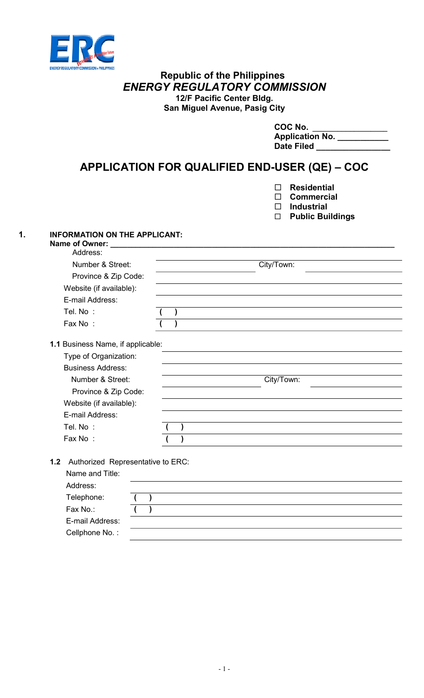

### Republic of the Philippines ENERGY REGULATORY COMMISSION 12/F Pacific Center Bldg. San Miguel Avenue, Pasig City

| COC No.                |
|------------------------|
| <b>Application No.</b> |
| <b>Date Filed</b>      |

# APPLICATION FOR QUALIFIED END-USER (QE) – COC

- Residential
- □ Commercial
- $\square$  Industrial
- Public Buildings

## 1. INFORMATION ON THE APPLICANT:<br>Name of Owner:

| Number & Street:         |  | City/Town: |  |
|--------------------------|--|------------|--|
| Province & Zip Code:     |  |            |  |
|                          |  |            |  |
| Website (if available):  |  |            |  |
| E-mail Address:          |  |            |  |
| Tel. No :                |  |            |  |
| Fax No:                  |  |            |  |
| <b>Business Address:</b> |  |            |  |
| Type of Organization:    |  |            |  |
| Number & Street:         |  | City/Town: |  |
| Province & Zip Code:     |  |            |  |
|                          |  |            |  |
| Website (if available):  |  |            |  |
| E-mail Address:          |  |            |  |
| Tel. No :                |  |            |  |

1.2 Authorized Representative to ERC:

| Name and Title: |  |  |  |  |  |
|-----------------|--|--|--|--|--|
| Address:        |  |  |  |  |  |
| Telephone:      |  |  |  |  |  |
| Fax No.:        |  |  |  |  |  |
| E-mail Address: |  |  |  |  |  |
| Cellphone No.:  |  |  |  |  |  |